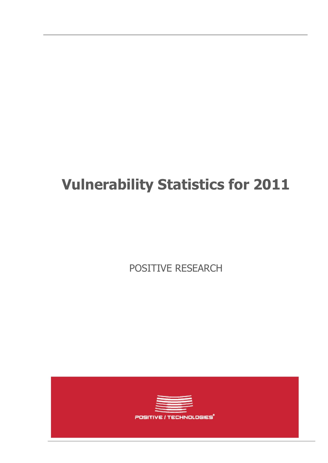# **Vulnerability Statistics for 2011**

POSITIVE RESEARCH

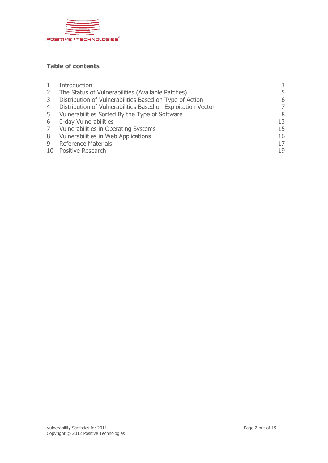

#### **Table of contents**

|              | Introduction                                                 | 3  |
|--------------|--------------------------------------------------------------|----|
| $\mathbf{2}$ | The Status of Vulnerabilities (Available Patches)            | 5  |
| 3            | Distribution of Vulnerabilities Based on Type of Action      | 6  |
| 4            | Distribution of Vulnerabilities Based on Exploitation Vector | 7  |
| 5            | Vulnerabilities Sorted By the Type of Software               | 8  |
| 6            | 0-day Vulnerabilities                                        | 13 |
| 7            | Vulnerabilities in Operating Systems                         | 15 |
| 8            | Vulnerabilities in Web Applications                          | 16 |
| 9            | <b>Reference Materials</b>                                   | 17 |
|              | 10 Positive Research                                         | 19 |
|              |                                                              |    |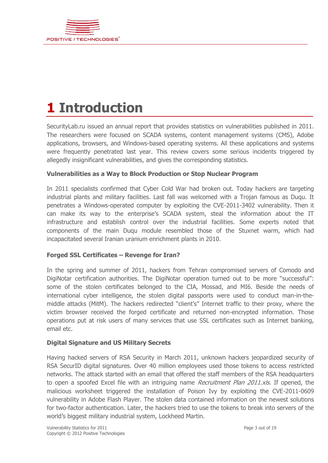

# **1 Introduction**

SecurityLab.ru issued an annual report that provides statistics on vulnerabilities published in 2011. The researchers were focused on SCADA systems, content management systems (CMS), Adobe applications, browsers, and Windows-based operating systems. All these applications and systems were frequently penetrated last year. This review covers some serious incidents triggered by allegedly insignificant vulnerabilities, and gives the corresponding statistics.

#### **Vulnerabilities as a Way to Block Production or Stop Nuclear Program**

In 2011 specialists confirmed that Cyber Cold War had broken out. Today hackers are targeting industrial plants and military facilities. Last fall was welcomed with a Trojan famous as Duqu. It penetrates a Windows-operated computer by exploiting the CVE-2011-3402 vulnerability. Then it can make its way to the enterprise's SCADA system, steal the information about the IT infrastructure and establish control over the industrial facilities. Some experts noted that components of the main Duqu module resembled those of the Stuxnet warm, which had incapacitated several Iranian uranium enrichment plants in 2010.

#### **Forged SSL Certificates – Revenge for Iran?**

In the spring and summer of 2011, hackers from Tehran compromised servers of Comodo and DigiNotar certification authorities. The DigiNotar operation turned out to be more "successful": some of the stolen certificates belonged to the CIA, Mossad, and MI6. Beside the needs of international cyber intelligence, the stolen digital passports were used to conduct man-in-themiddle attacks (MitM). The hackers redirected "client's" Internet traffic to their proxy, where the victim browser received the forged certificate and returned non-encrypted information. Those operations put at risk users of many services that use SSL certificates such as Internet banking, email etc.

#### **Digital Signature and US Military Secrets**

Having hacked servers of RSA Security in March 2011, unknown hackers jeopardized security of RSA SecurID digital signatures. Over 40 million employees used those tokens to access restricted networks. The attack started with an email that offered the staff members of the RSA headquarters to open a spoofed Excel file with an intriguing name *Recruitment Plan 2011.xls*. If opened, the malicious worksheet triggered the installation of Poison Ivy by exploiting the CVE-2011-0609 vulnerability in Adobe Flash Player. The stolen data contained information on the newest solutions for two-factor authentication. Later, the hackers tried to use the tokens to break into servers of the world's biggest military industrial system, Lockheed Martin.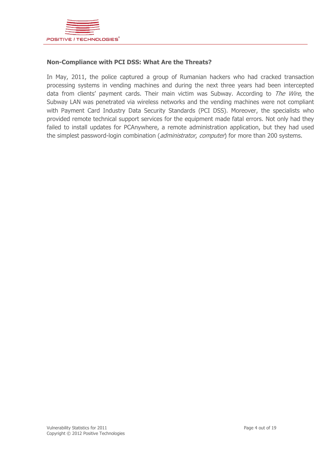

#### **Non-Compliance with PCI DSS: What Are the Threats?**

In May, 2011, the police captured a group of Rumanian hackers who had cracked transaction processing systems in vending machines and during the next three years had been intercepted data from clients' payment cards. Their main victim was Subway. According to The Wire, the Subway LAN was penetrated via wireless networks and the vending machines were not compliant with Payment Card Industry Data Security Standards (PCI DSS). Moreover, the specialists who provided remote technical support services for the equipment made fatal errors. Not only had they failed to install updates for PCAnywhere, a remote administration application, but they had used the simplest password-login combination (*administrator, computer*) for more than 200 systems.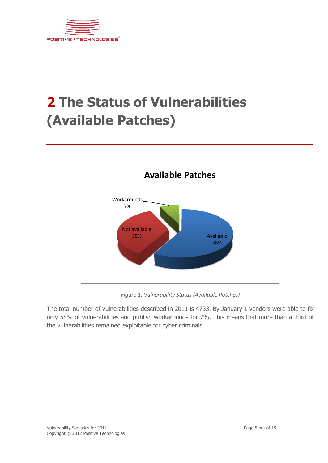

### **2 The Status of Vulnerabilities (Available Patches)**



*Figure 1. Vulnerability Status (Available Patches)*

The total number of vulnerabilities described in 2011 is 4733. By January 1 vendors were able to fix only 58% of vulnerabilities and publish workarounds for 7%. This means that more than a third of the vulnerabilities remained exploitable for cyber criminals.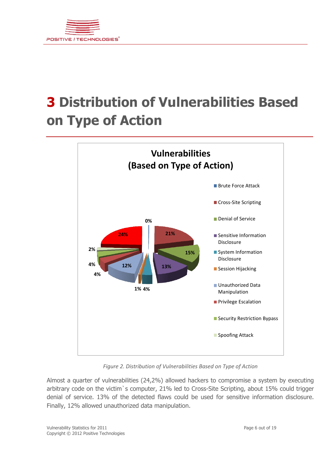

## **3 Distribution of Vulnerabilities Based on Type of Action**



*Figure 2. Distribution of Vulnerabilities Based on Type of Action*

Almost a quarter of vulnerabilities (24,2%) allowed hackers to compromise a system by executing arbitrary code on the victim s computer, 21% led to Cross-Site Scripting, about 15% could trigger denial of service. 13% of the detected flaws could be used for sensitive information disclosure. Finally, 12% allowed unauthorized data manipulation.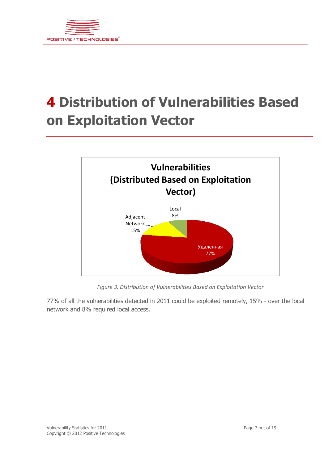

## **4 Distribution of Vulnerabilities Based on Exploitation Vector**



*Figure 3. Distribution of Vulnerabilities Based on Exploitation Vector*

77% of all the vulnerabilities detected in 2011 could be exploited remotely, 15% - over the local network and 8% required local access.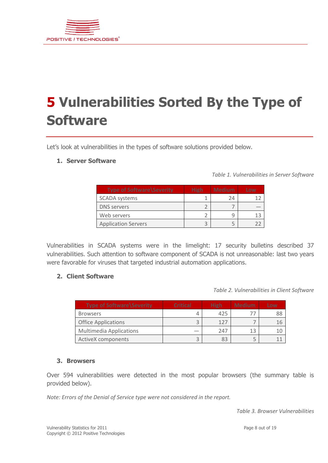

# **5 Vulnerabilities Sorted By the Type of Software**

Let's look at vulnerabilities in the types of software solutions provided below.

#### **1. Server Software**

*Table 1. Vulnerabilities in Server Software*

| <b>Type of Software \Severity</b> | <b>High</b> | <b>Medium</b> | Low |
|-----------------------------------|-------------|---------------|-----|
| <b>SCADA systems</b>              |             | 24            |     |
| <b>DNS</b> servers                |             |               |     |
| Web servers                       |             |               |     |
| <b>Application Servers</b>        |             |               |     |

Vulnerabilities in SCADA systems were in the limelight: 17 security bulletins described 37 vulnerabilities. Such attention to software component of SCADA is not unreasonable: last two years were favorable for viruses that targeted industrial automation applications.

#### **2. Client Software**

*Table 2. Vulnerabilities in Client Software*

| <b>Type of Software \Severity</b> | <b>Critical</b> | <b>High</b> | <b>Medium</b> | Low |
|-----------------------------------|-----------------|-------------|---------------|-----|
| <b>Browsers</b>                   |                 | 425         |               | 88  |
| <b>Office Applications</b>        |                 | 127         |               |     |
| <b>Multimedia Applications</b>    |                 | 247         |               |     |
| <b>ActiveX</b> components         |                 |             |               |     |

#### **3. Browsers**

Over 594 vulnerabilities were detected in the most popular browsers (the summary table is provided below).

*Note: Errors of the Denial of Service type were not considered in the report.*

*Table 3. Browser Vulnerabilities*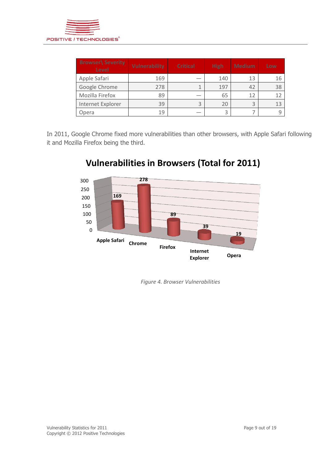

| <b>Browser\ Severity</b><br>Level | <b>Vulnerability</b> | <b>Critical</b> | <b>High</b> | <b>Medium</b> | Low |
|-----------------------------------|----------------------|-----------------|-------------|---------------|-----|
| Apple Safari                      | 169                  |                 | 140         | 13            | 16  |
| Google Chrome                     | 278                  | 1               | 197         | 42            | 38  |
| Mozilla Firefox                   | 89                   |                 | 65          | 12            | 12  |
| Internet Explorer                 | 39                   | 3               | 20          | 3             | 13  |
| Opera                             | 19                   |                 | 3           |               |     |

In 2011, Google Chrome fixed more vulnerabilities than other browsers, with Apple Safari following it and Mozilla Firefox being the third.



### **Vulnerabilities in Browsers (Total for 2011)**

*Figure 4. Browser Vulnerabilities*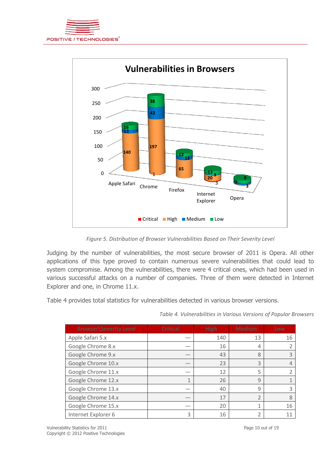



*Figure 5. Distribution of Browser Vulnerabilities Based on Their Severity Level*

Judging by the number of vulnerabilities, the most secure browser of 2011 is Opera. All other applications of this type proved to contain numerous severe vulnerabilities that could lead to system compromise. Among the vulnerabilities, there were 4 critical ones, which had been used in various successful attacks on a number of companies. Three of them were detected in Internet Explorer and one, in Chrome 11.x.

Table 4 provides total statistics for vulnerabilities detected in various browser versions.

| <b>Browser</b> Severity Level | <b>Critical</b> | <b>High</b> | <b>Medium</b> | Low |
|-------------------------------|-----------------|-------------|---------------|-----|
| Apple Safari 5.x              |                 | 140         | 13            | 16  |
| Google Chrome 8.x             |                 | 16          | 4             |     |
| Google Chrome 9.x             |                 | 43          | 8             | 3   |
| Google Chrome 10.x            |                 | 23          | 3             | 4   |
| Google Chrome 11.x            |                 | 12          | 5             |     |
| Google Chrome 12.x            | $\mathbf{1}$    | 26          | 9             |     |
| Google Chrome 13.x            |                 | 40          | $\mathsf{q}$  | 3   |
| Google Chrome 14.x            |                 | 17          | フ             | 8   |
| Google Chrome 15.x            |                 | 20          |               | 16  |
| Internet Explorer 6           | 3               | 16          |               |     |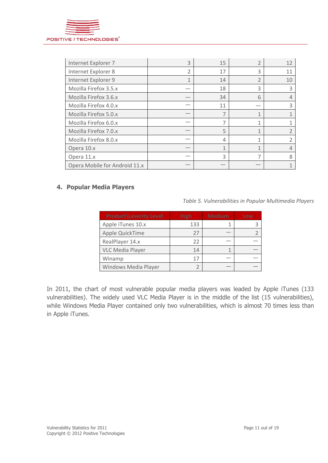

| Internet Explorer 7           | 3 | 15 |   | 12 |
|-------------------------------|---|----|---|----|
| Internet Explorer 8           | 2 | 17 | ς | 11 |
| Internet Explorer 9           | 1 | 14 |   | 10 |
| Mozilla Firefox 3.5.x         |   | 18 | 3 | ੨  |
| Mozilla Firefox 3.6.x         |   | 34 | 6 |    |
| Mozilla Firefox 4.0.x         |   | 11 |   | 3  |
| Mozilla Firefox 5.0.x         |   |    |   |    |
| Mozilla Firefox 6.0.x         |   |    |   |    |
| Mozilla Firefox 7.0.x         |   | 5  |   |    |
| Mozilla Firefox 8.0.x         |   | 4  |   |    |
| Opera 10.x                    |   | 1  | 1 |    |
| Opera 11.x                    |   | 3  |   | 8  |
| Opera Mobile for Android 11.x |   |    |   |    |

#### **4. Popular Media Players**

*Table 5. Vulnerabilities in Popular Multimedia Players*

| <b>Product</b> Leverity Level | <b>High</b> | <b>Medium</b> | Low |
|-------------------------------|-------------|---------------|-----|
| Apple iTunes 10.x             | 133         |               |     |
| Apple QuickTime               | 27          |               |     |
| RealPlayer 14.x               | 22          |               |     |
| <b>VLC Media Player</b>       | 14          |               |     |
| Winamp                        | 17          |               |     |
| Windows Media Player          |             |               |     |

In 2011, the chart of most vulnerable popular media players was leaded by Apple iTunes (133 vulnerabilities). The widely used VLC Media Player is in the middle of the list (15 vulnerabilities), while Windows Media Player contained only two vulnerabilities, which is almost 70 times less than in Apple iTunes.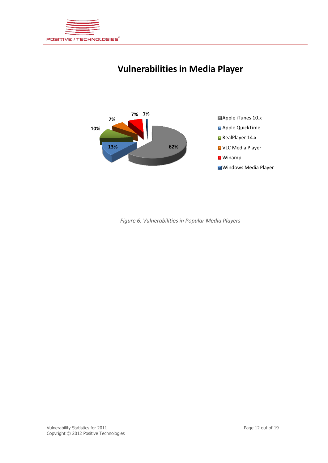

### **Vulnerabilities in Media Player**



*Figure 6. Vulnerabilities in Popular Media Players*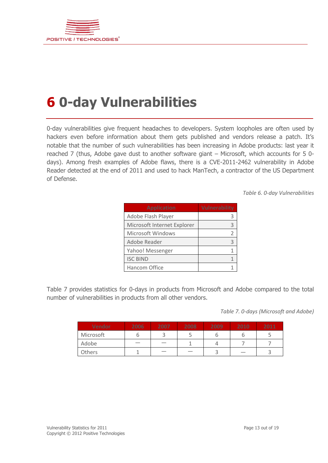

### **6 0-day Vulnerabilities**

0-day vulnerabilities give frequent headaches to developers. System loopholes are often used by hackers even before information about them gets published and vendors release a patch. It's notable that the number of such vulnerabilities has been increasing in Adobe products: last year it reached 7 (thus, Adobe gave dust to another software giant – Microsoft, which accounts for 5 0 days). Among fresh examples of Adobe flaws, there is a CVE-2011-2462 vulnerability in Adobe Reader detected at the end of 2011 and used to hack ManTech, a contractor of the US Department of Defense.

*Table 6. 0-day Vulnerabilities*

| <b>Application</b>          | <b>Vulnerability</b> |
|-----------------------------|----------------------|
| Adobe Flash Player          |                      |
| Microsoft Internet Explorer |                      |
| Microsoft Windows           | 2                    |
| Adobe Reader                | ς                    |
| Yahoo! Messenger            |                      |
| <b>ISC BIND</b>             |                      |
| Hancom Office               |                      |

Table 7 provides statistics for 0-days in products from Microsoft and Adobe compared to the total number of vulnerabilities in products from all other vendors.

*Table 7. 0-days (Microsoft and Adobe)*

| <b>Vendor</b> | 2006 | 2007 | 2008 | 2009 | 2010 | 2011 |
|---------------|------|------|------|------|------|------|
| Microsoft     |      |      |      |      |      |      |
| Adobe         |      |      |      |      |      |      |
| Others        |      |      |      |      |      |      |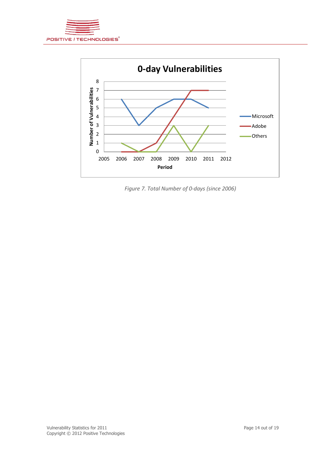



*Figure 7. Total Number of 0-days (since 2006)*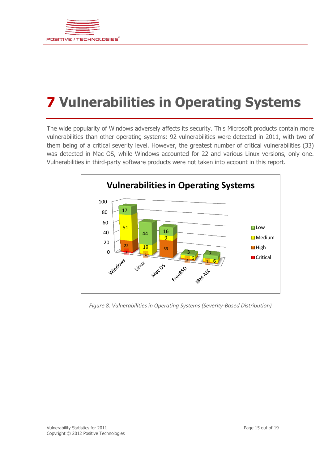

# **Vulnerabilities in Operating Systems**

The wide popularity of Windows adversely affects its security. This Microsoft products contain more vulnerabilities than other operating systems: 92 vulnerabilities were detected in 2011, with two of them being of a critical severity level. However, the greatest number of critical vulnerabilities (33) was detected in Mac OS, while Windows accounted for 22 and various Linux versions, only one. Vulnerabilities in third-party software products were not taken into account in this report.



*Figure 8. Vulnerabilities in Operating Systems (Severity-Based Distribution)*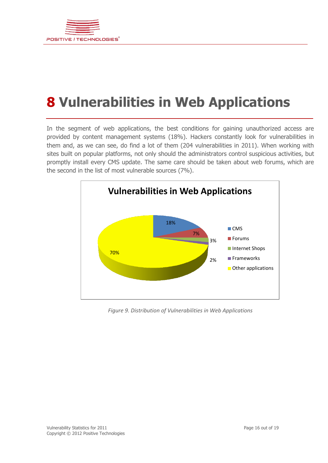

### **8 Vulnerabilities in Web Applications**

In the segment of web applications, the best conditions for gaining unauthorized access are provided by content management systems (18%). Hackers constantly look for vulnerabilities in them and, as we can see, do find a lot of them (204 vulnerabilities in 2011). When working with sites built on popular platforms, not only should the administrators control suspicious activities, but promptly install every CMS update. The same care should be taken about web forums, which are the second in the list of most vulnerable sources (7%).



*Figure 9. Distribution of Vulnerabilities in Web Applications*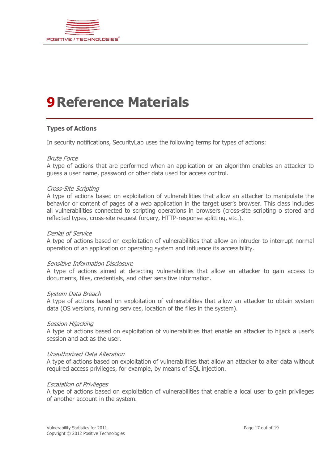

### **9Reference Materials**

#### **Types of Actions**

In security notifications, SecurityLab uses the following terms for types of actions:

#### Brute Force

A type of actions that are performed when an application or an algorithm enables an attacker to guess a user name, password or other data used for access control.

#### Cross-Site Scripting

A type of actions based on exploitation of vulnerabilities that allow an attacker to manipulate the behavior or content of pages of a web application in the target user's browser. This class includes all vulnerabilities connected to scripting operations in browsers (cross-site scripting o stored and reflected types, cross-site request forgery, HTTP-response splitting, etc.).

#### Denial of Service

A type of actions based on exploitation of vulnerabilities that allow an intruder to interrupt normal operation of an application or operating system and influence its accessibility.

#### Sensitive Information Disclosure

A type of actions aimed at detecting vulnerabilities that allow an attacker to gain access to documents, files, credentials, and other sensitive information.

#### System Data Breach

A type of actions based on exploitation of vulnerabilities that allow an attacker to obtain system data (OS versions, running services, location of the files in the system).

#### Session Hijacking

A type of actions based on exploitation of vulnerabilities that enable an attacker to hijack a user's session and act as the user.

#### Unauthorized Data Alteration

A type of actions based on exploitation of vulnerabilities that allow an attacker to alter data without required access privileges, for example, by means of SQL injection.

#### Escalation of Privileges

A type of actions based on exploitation of vulnerabilities that enable a local user to gain privileges of another account in the system.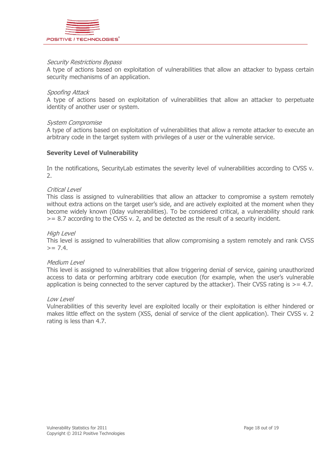

#### Security Restrictions Bypass

A type of actions based on exploitation of vulnerabilities that allow an attacker to bypass certain security mechanisms of an application.

#### Spoofing Attack

A type of actions based on exploitation of vulnerabilities that allow an attacker to perpetuate identity of another user or system.

#### System Compromise

A type of actions based on exploitation of vulnerabilities that allow a remote attacker to execute an arbitrary code in the target system with privileges of a user or the vulnerable service.

#### **Severity Level of Vulnerability**

In the notifications, SecurityLab estimates the severity level of vulnerabilities according to CVSS v. 2.

#### Critical Level

This class is assigned to vulnerabilities that allow an attacker to compromise a system remotely without extra actions on the target user's side, and are actively exploited at the moment when they become widely known (0day vulnerabilities). To be considered critical, a vulnerability should rank >= 8.7 according to the CVSS v. 2, and be detected as the result of a security incident.

#### High Level

This level is assigned to vulnerabilities that allow compromising a system remotely and rank CVSS  $>= 7.4.$ 

#### Medium Level

This level is assigned to vulnerabilities that allow triggering denial of service, gaining unauthorized access to data or performing arbitrary code execution (for example, when the user's vulnerable application is being connected to the server captured by the attacker). Their CVSS rating is  $> = 4.7$ .

#### Low Level

Vulnerabilities of this severity level are exploited locally or their exploitation is either hindered or makes little effect on the system (XSS, denial of service of the client application). Their CVSS v. 2 rating is less than 4.7.